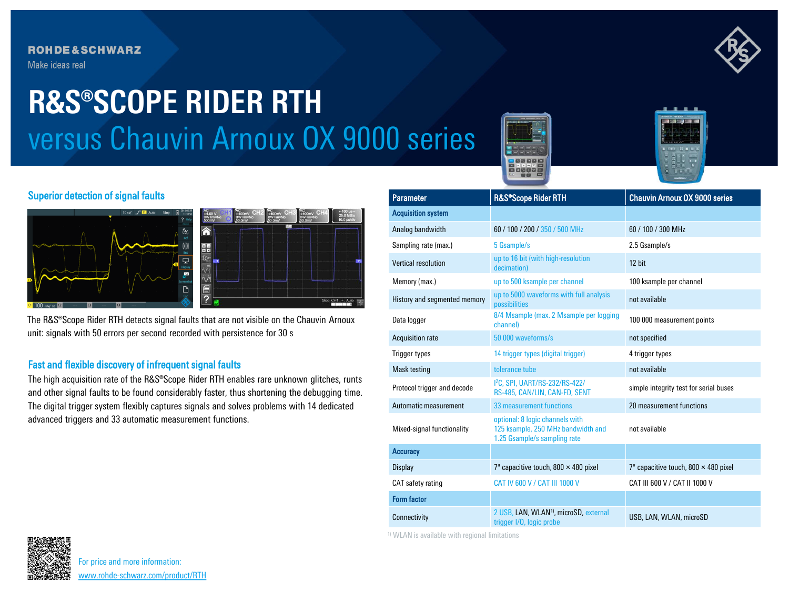## **ROHDE&SCHWARZ**

Make ideas real

# versus Chauvin Arnoux OX 9000 series **R&S®SCOPE RIDER RTH**





#### Superior detection of signal faults



The R&S®Scope Rider RTH detects signal faults that are not visible on the Chauvin Arnoux unit: signals with 50 errors per second recorded with persistence for 30 s

### Fast and flexible discovery of infrequent signal faults

The high acquisition rate of the R&S®Scope Rider RTH enables rare unknown glitches, runts and other signal faults to be found considerably faster, thus shortening the debugging time. The digital trigger system flexibly captures signals and solves problems with 14 dedicated advanced triggers and 33 automatic measurement functions.

| <b>Parameter</b>             | R&S®Scope Rider RTH                                                                                   | <b>Chauvin Arnoux OX 9000 series</b>        |
|------------------------------|-------------------------------------------------------------------------------------------------------|---------------------------------------------|
| <b>Acquisition system</b>    |                                                                                                       |                                             |
| Analog bandwidth             | 60 / 100 / 200 / 350 / 500 MHz                                                                        | 60 / 100 / 300 MHz                          |
| Sampling rate (max.)         | 5 Gsample/s                                                                                           | 2.5 Gsample/s                               |
| <b>Vertical resolution</b>   | up to 16 bit (with high-resolution<br>decimation)                                                     | 12 bit                                      |
| Memory (max.)                | up to 500 ksample per channel                                                                         | 100 ksample per channel                     |
| History and segmented memory | up to 5000 waveforms with full analysis<br>possibilities                                              | not available                               |
| Data logger                  | 8/4 Msample (max. 2 Msample per logging<br>channel)                                                   | 100 000 measurement points                  |
| <b>Acquisition rate</b>      | 50 000 waveforms/s                                                                                    | not specified                               |
| <b>Trigger types</b>         | 14 trigger types (digital trigger)                                                                    | 4 trigger types                             |
| Mask testing                 | tolerance tube                                                                                        | not available                               |
| Protocol trigger and decode  | 12C. SPI. UART/RS-232/RS-422/<br>RS-485, CAN/LIN, CAN-FD, SENT                                        | simple integrity test for serial buses      |
| Automatic measurement        | 33 measurement functions                                                                              | 20 measurement functions                    |
| Mixed-signal functionality   | optional: 8 logic channels with<br>125 ksample, 250 MHz bandwidth and<br>1.25 Gsample/s sampling rate | not available                               |
| <b>Accuracy</b>              |                                                                                                       |                                             |
| <b>Display</b>               | 7" capacitive touch, 800 $\times$ 480 pixel                                                           | 7" capacitive touch, 800 $\times$ 480 pixel |
| CAT safety rating            | CAT IV 600 V / CAT III 1000 V                                                                         | CAT III 600 V / CAT II 1000 V               |
| <b>Form factor</b>           |                                                                                                       |                                             |
| Connectivity                 | 2 USB, LAN, WLAN <sup>1)</sup> , microSD, external<br>trigger I/O, logic probe                        | USB, LAN, WLAN, microSD                     |

1) WLAN is available with regional limitations